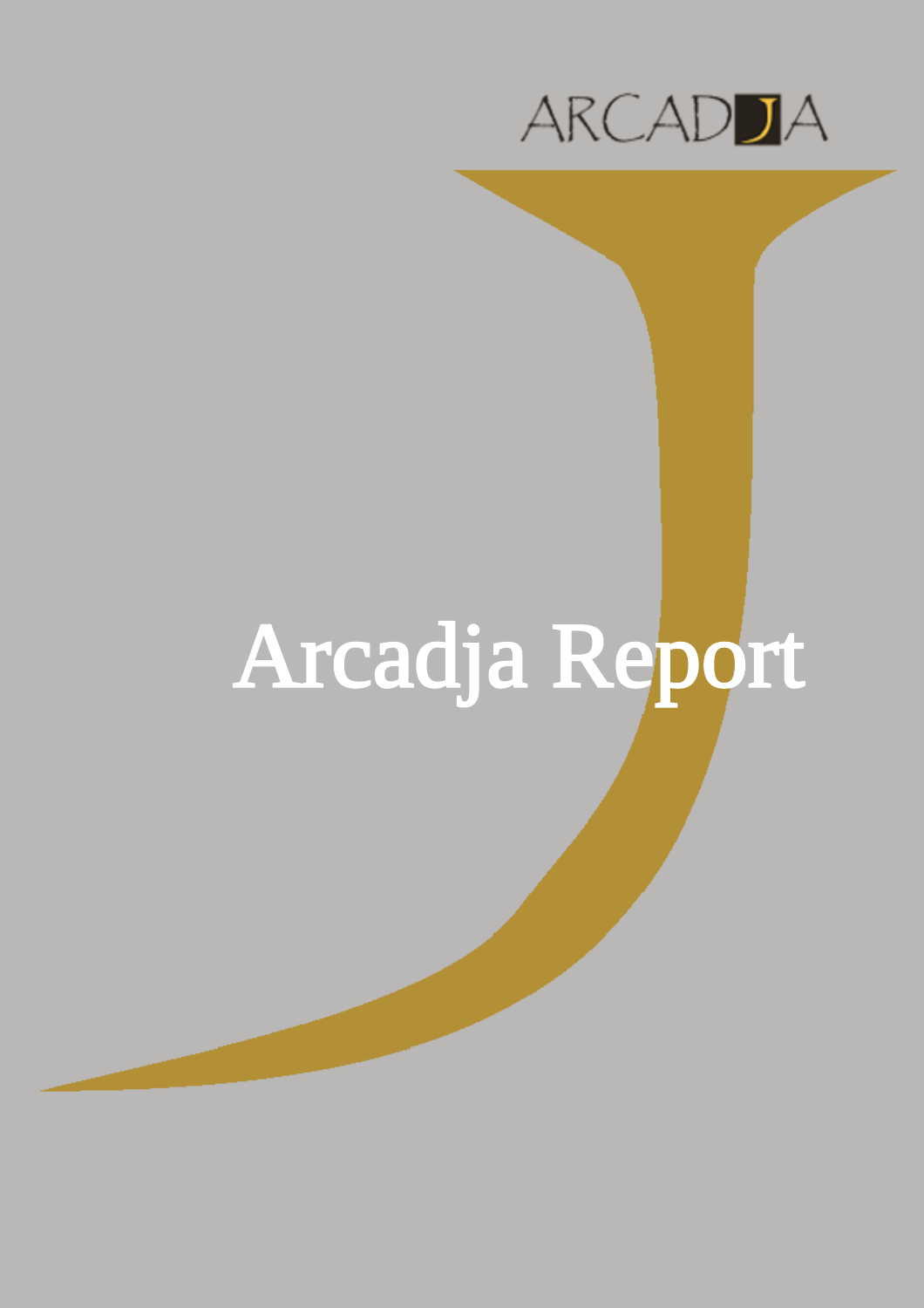

## Arcadja Report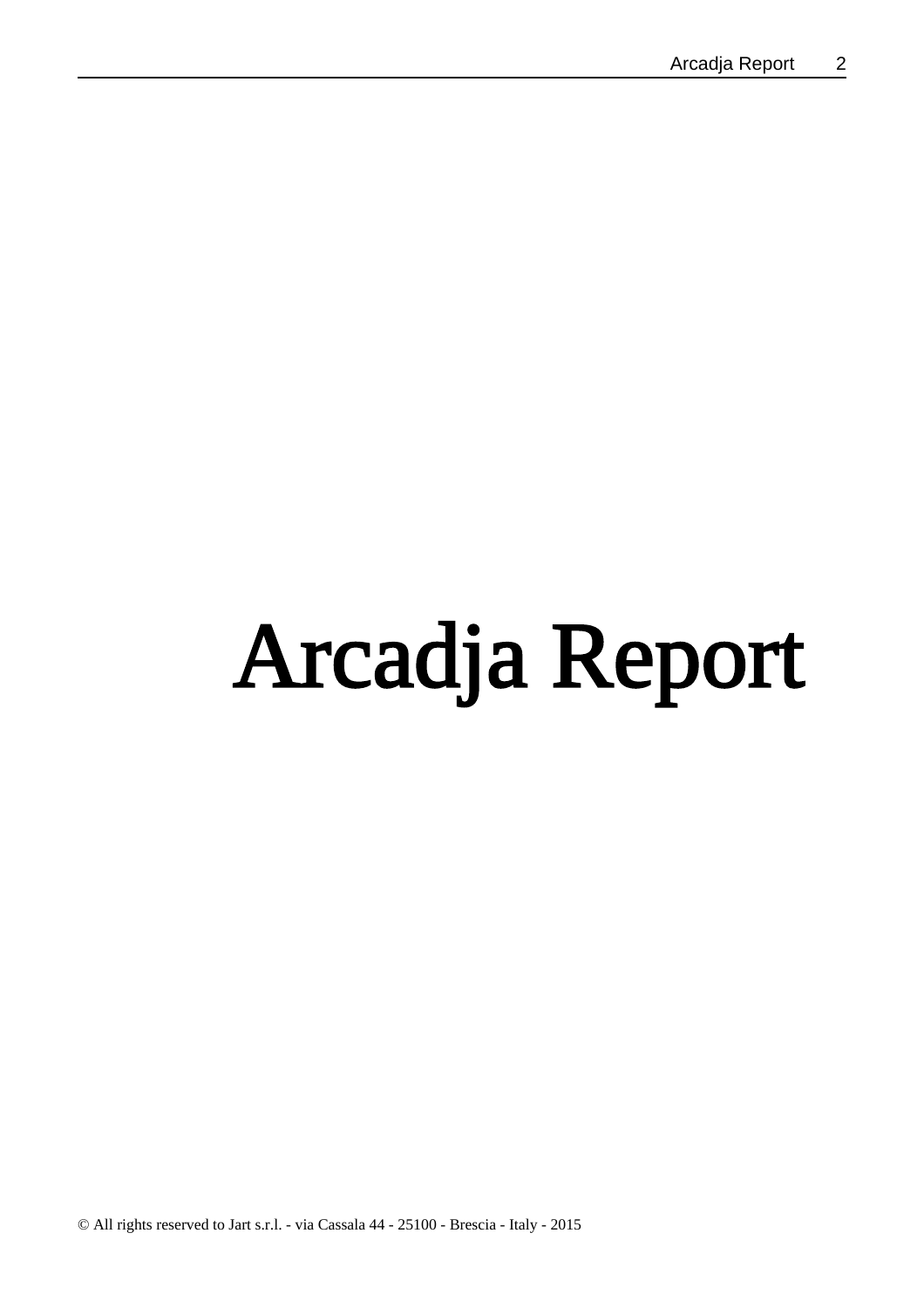# Arcadja Report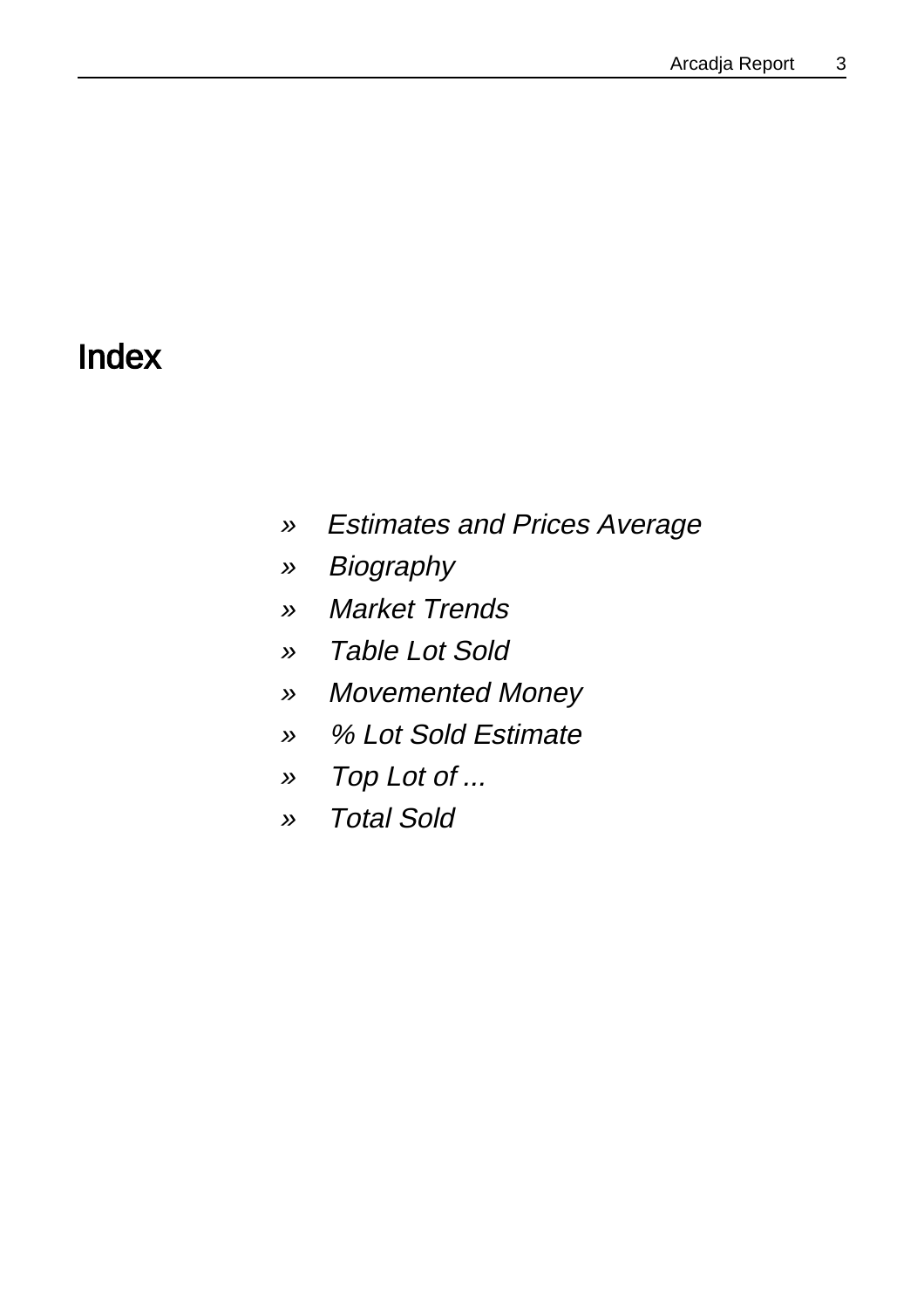### Index

- »Estimates and Prices Average
- » **Biography**
- »Market Trends
- »Table Lot Sold
- »Movemented Money
- »% Lot Sold Estimate
- »Top Lot of ...
- »Total Sold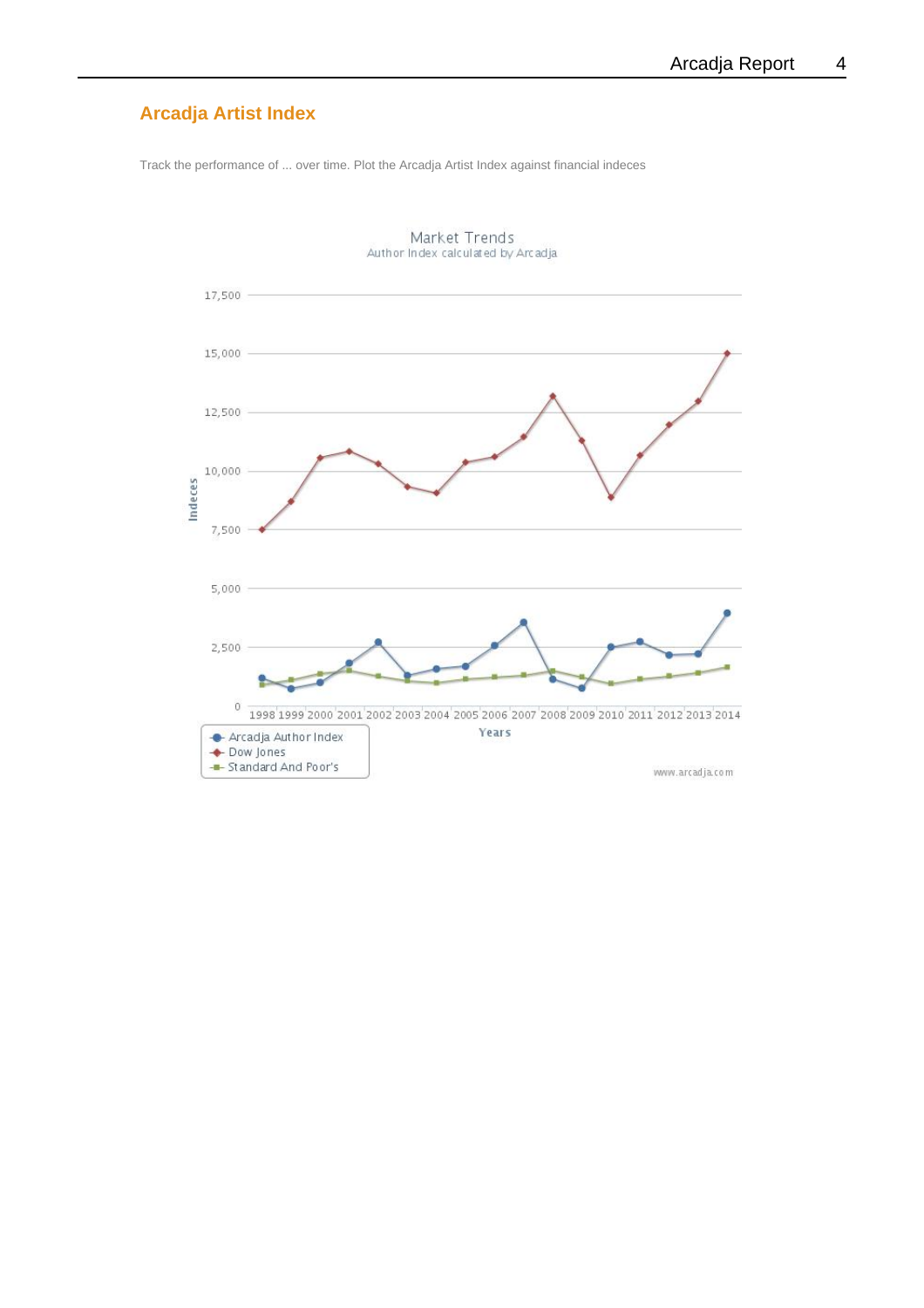#### **Arcadja Artist Index**

Track the performance of ... over time. Plot the Arcadja Artist Index against financial indeces



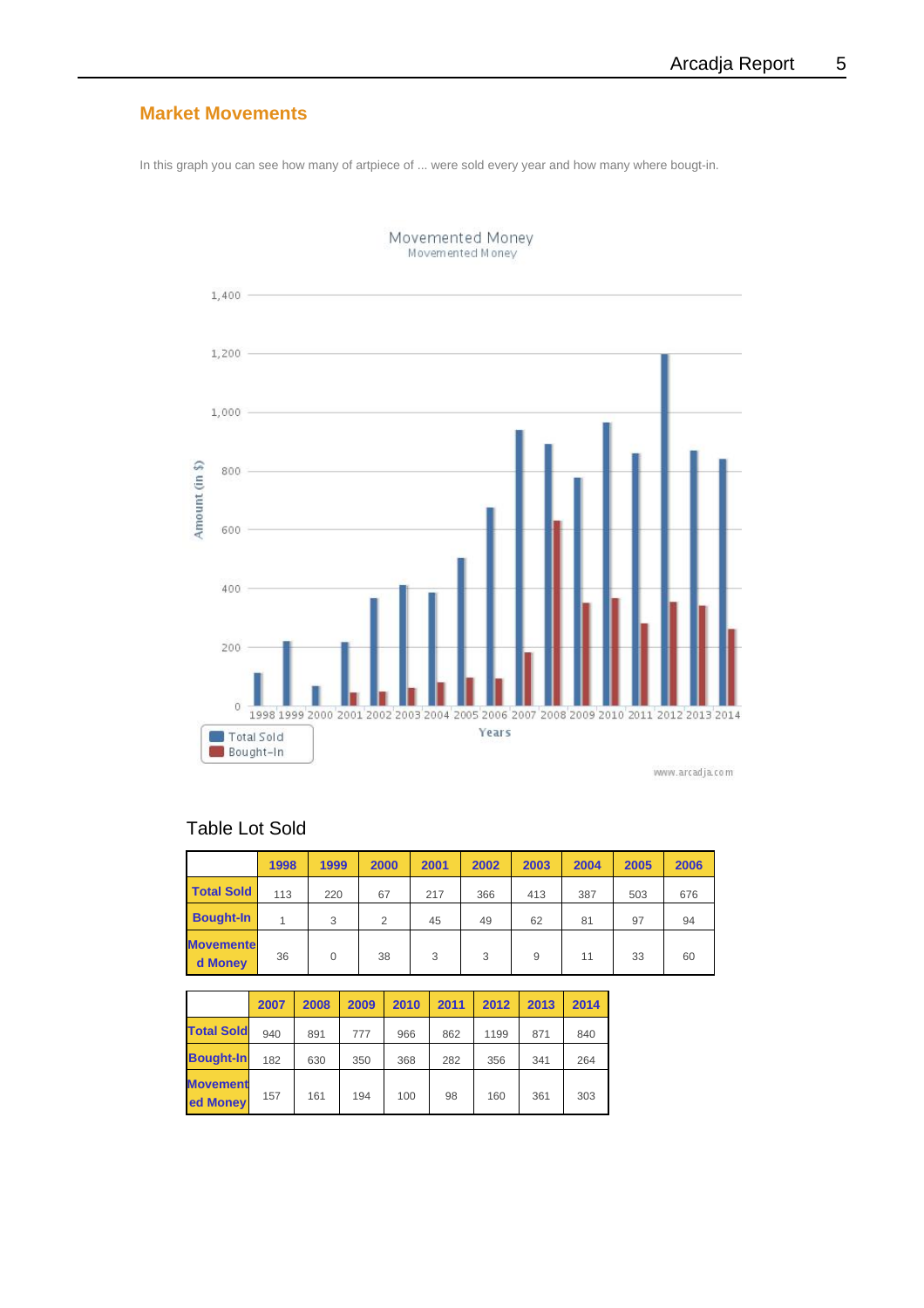#### **Market Movements**

In this graph you can see how many of artpiece of ... were sold every year and how many where bougt-in.



Movemented Money<br>Movemented Money

#### Table Lot Sold

|                             | 1998 | 1999     | 2000 | 2001 | 2002 | 2003 | 2004 | 2005 | 2006 |
|-----------------------------|------|----------|------|------|------|------|------|------|------|
| <b>Total Sold</b>           | 113  | 220      | 67   | 217  | 366  | 413  | 387  | 503  | 676  |
| <b>Bought-In</b>            |      | 3        | 2    | 45   | 49   | 62   | 81   | 97   | 94   |
| <b>Movemente</b><br>d Money | 36   | $\Omega$ | 38   | 3    | 3    | 9    | 11   | 33   | 60   |

|                             | 2007 | 2008 | 2009 | 2010 | 2011 | 2012 | 2013 | 2014 |
|-----------------------------|------|------|------|------|------|------|------|------|
| <b>Total Sold</b>           | 940  | 891  | 777  | 966  | 862  | 1199 | 871  | 840  |
| <b>Bought-In</b>            | 182  | 630  | 350  | 368  | 282  | 356  | 341  | 264  |
| <b>Movement</b><br>ed Money | 157  | 161  | 194  | 100  | 98   | 160  | 361  | 303  |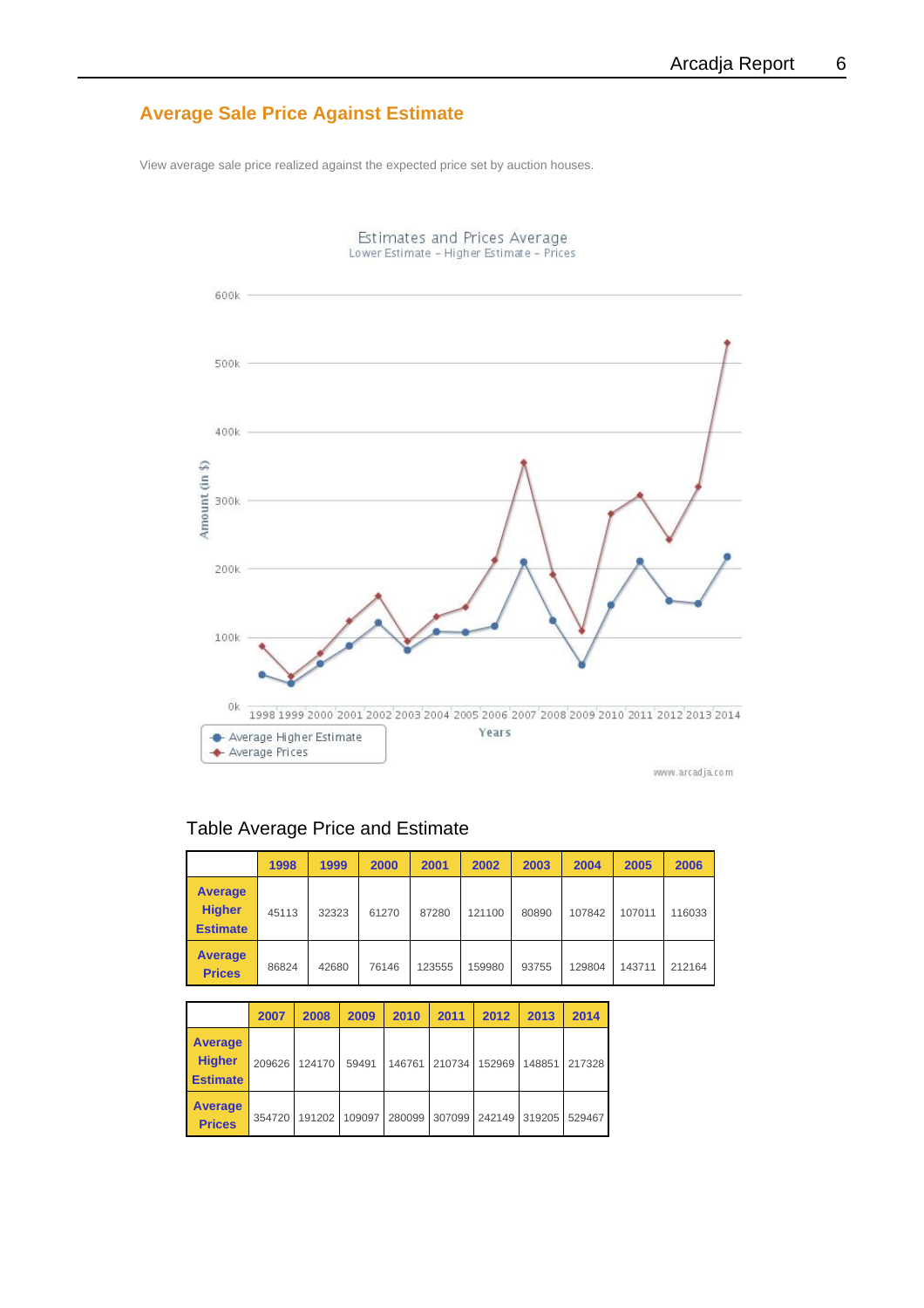#### **Average Sale Price Against Estimate**

View average sale price realized against the expected price set by auction houses.



#### Table Average Price and Estimate

|                                                    | 1998  | 1999  | 2000  | 2001   | 2002   | 2003  | 2004   | 2005   | 2006   |
|----------------------------------------------------|-------|-------|-------|--------|--------|-------|--------|--------|--------|
| <b>Average</b><br><b>Higher</b><br><b>Estimate</b> | 45113 | 32323 | 61270 | 87280  | 121100 | 80890 | 107842 | 107011 | 116033 |
| <b>Average</b><br><b>Prices</b>                    | 86824 | 42680 | 76146 | 123555 | 159980 | 93755 | 129804 | 143711 | 212164 |

|                                                    | 2007   | 2008   | 2009   | 2010   | 2011   | 2012   | 2013   | 2014   |
|----------------------------------------------------|--------|--------|--------|--------|--------|--------|--------|--------|
| <b>Average</b><br><b>Higher</b><br><b>Estimate</b> | 209626 | 124170 | 59491  | 146761 | 210734 | 152969 | 148851 | 217328 |
| <b>Average</b><br><b>Prices</b>                    | 354720 | 191202 | 109097 | 280099 | 307099 | 242149 | 319205 | 529467 |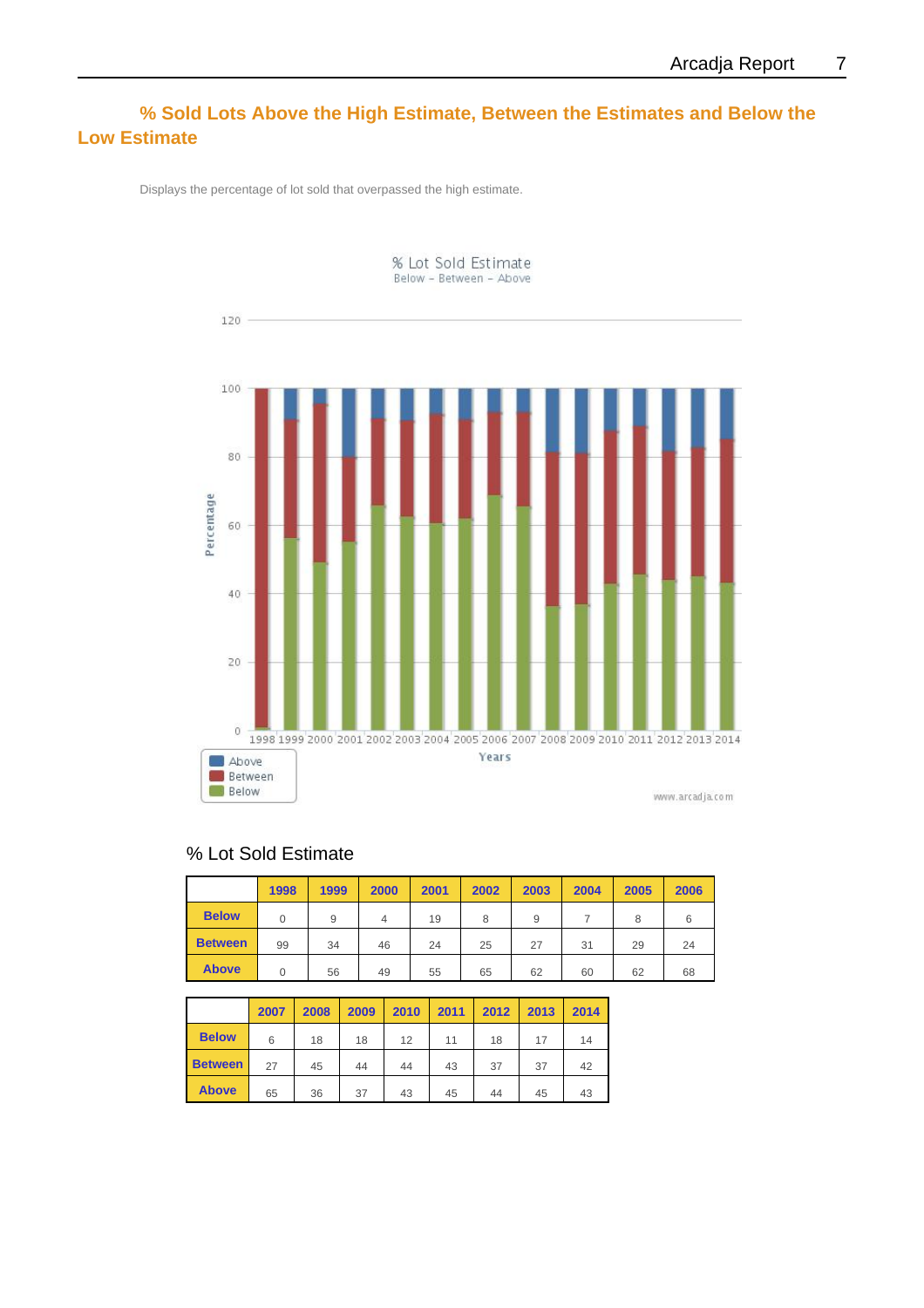#### **% Sold Lots Above the High Estimate, Between the Estimates and Below the Low Estimate**

Displays the percentage of lot sold that overpassed the high estimate.



#### % Lot Sold Estimate

|                | 1998 | 1999 | 2000 | 2001 | 2002 | 2003 | 2004 | 2005 | 2006 |
|----------------|------|------|------|------|------|------|------|------|------|
| <b>Below</b>   |      | 9    | 4    | 19   | 8    | 9    |      | 8    | 6    |
| <b>Between</b> | 99   | 34   | 46   | 24   | 25   | 27   | 31   | 29   | 24   |
| <b>Above</b>   | 0    | 56   | 49   | 55   | 65   | 62   | 60   | 62   | 68   |

|                | 2007 | 2008 | 2009 | 2010 | 2011 | 2012 | 2013 | 2014 |
|----------------|------|------|------|------|------|------|------|------|
| <b>Below</b>   | 6    | 18   | 18   | 12   | 11   | 18   | 17   | 14   |
| <b>Between</b> | 27   | 45   | 44   | 44   | 43   | 37   | 37   | 42   |
| <b>Above</b>   | 65   | 36   | 37   | 43   | 45   | 44   | 45   | 43   |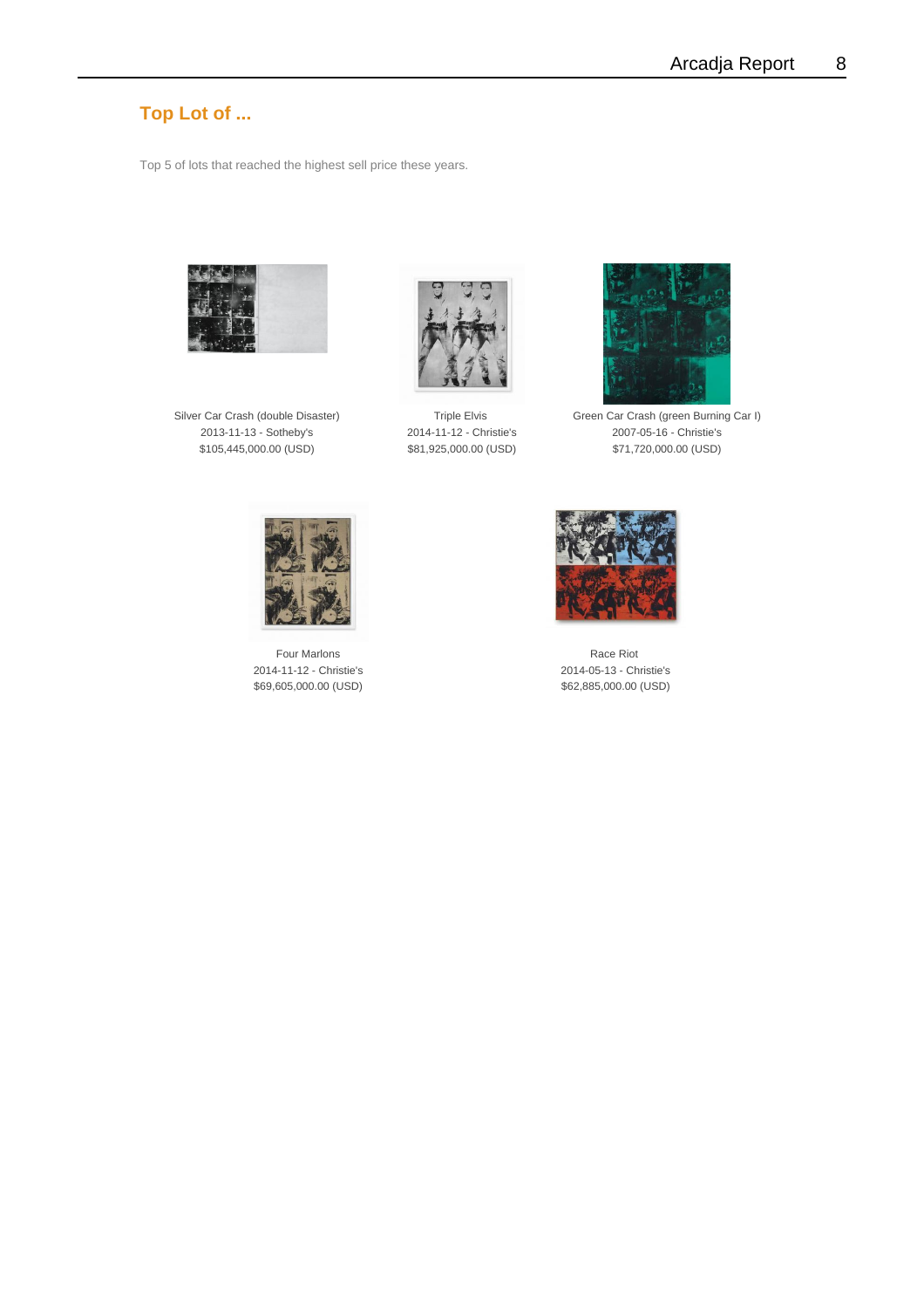#### **Top Lot of ...**

Top 5 of lots that reached the highest sell price these years.







Silver Car Crash (double Disaster) Triple Elvis Green Car Crash (green Burning Car I) 2013-11-13 - Sotheby's 2014-11-12 - Christie's 2007-05-16 - Christie's \$105,445,000.00 (USD) \$81,925,000.00 (USD) \$71,720,000.00 (USD)



Four Marlons **Race Riot** Race Riot 2014-11-12 - Christie's 2014-05-13 - Christie's \$69,605,000.00 (USD) \$62,885,000.00 (USD)

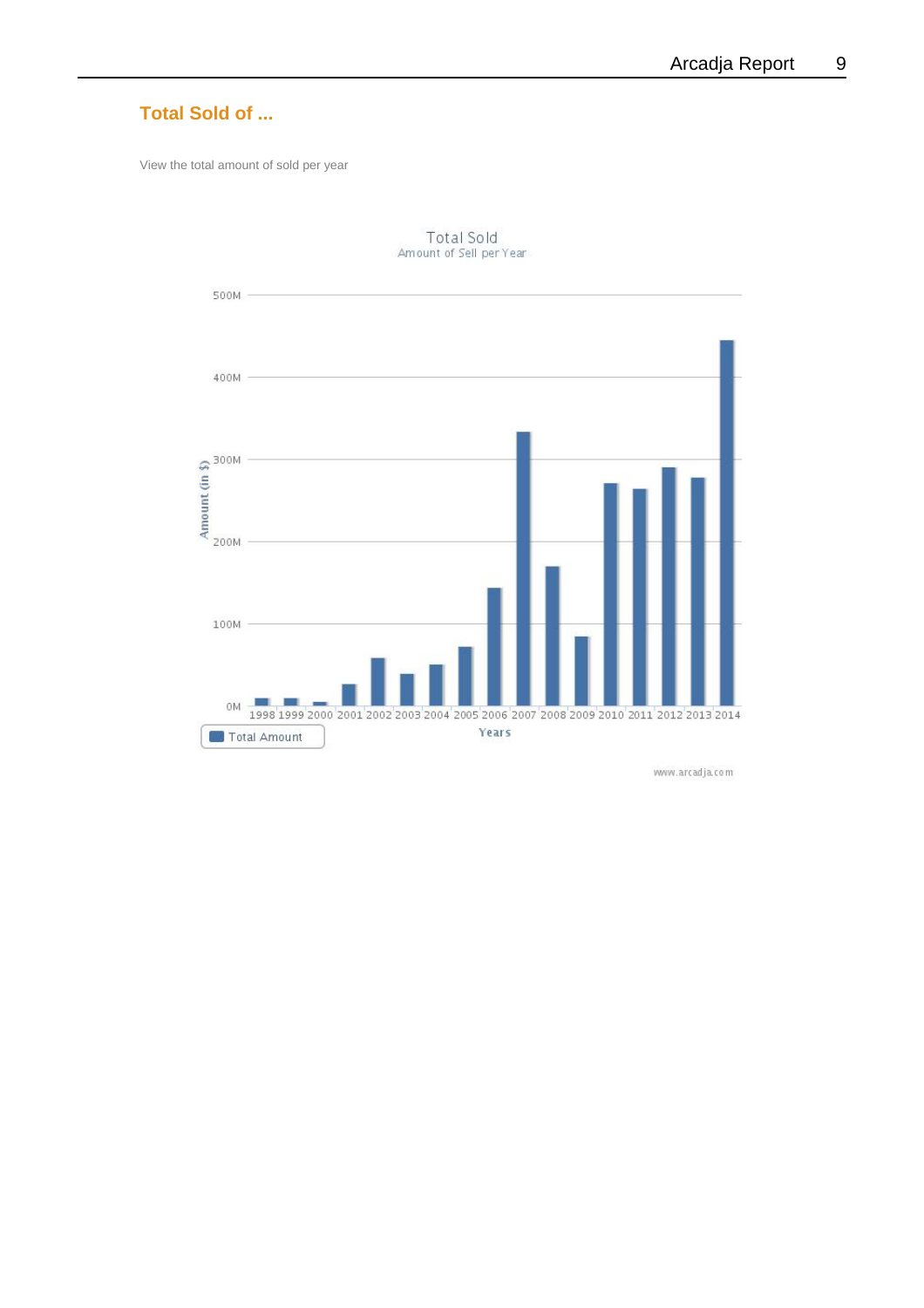

www.arcadja.com